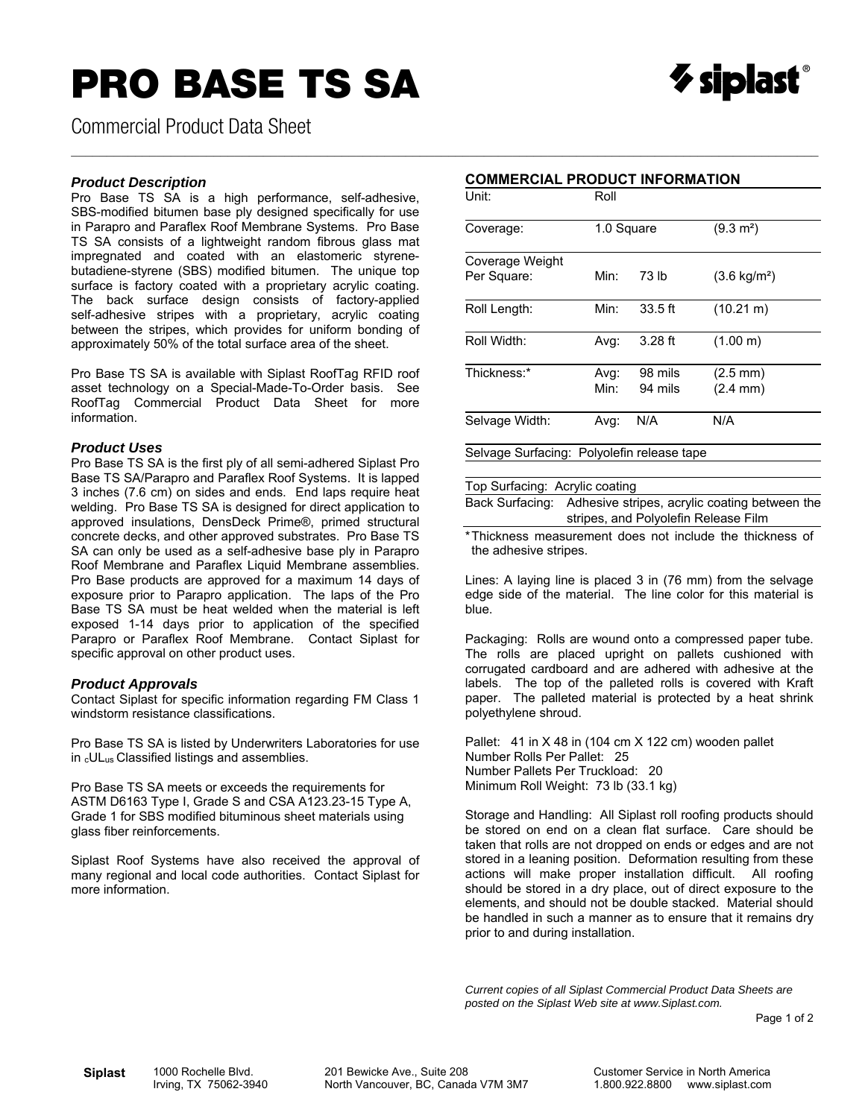# **PRO BASE TS SA**



Commercial Product Data Sheet

#### *Product Description*

Pro Base TS SA is a high performance, self-adhesive, SBS-modified bitumen base ply designed specifically for use in Parapro and Paraflex Roof Membrane Systems. Pro Base TS SA consists of a lightweight random fibrous glass mat impregnated and coated with an elastomeric styrenebutadiene-styrene (SBS) modified bitumen. The unique top surface is factory coated with a proprietary acrylic coating. The back surface design consists of factory-applied self-adhesive stripes with a proprietary, acrylic coating between the stripes, which provides for uniform bonding of approximately 50% of the total surface area of the sheet.

Pro Base TS SA is available with Siplast RoofTag RFID roof asset technology on a Special-Made-To-Order basis. See RoofTag Commercial Product Data Sheet for more information.

#### *Product Uses*

Pro Base TS SA is the first ply of all semi-adhered Siplast Pro Base TS SA/Parapro and Paraflex Roof Systems. It is lapped 3 inches (7.6 cm) on sides and ends. End laps require heat welding. Pro Base TS SA is designed for direct application to approved insulations, DensDeck Prime®, primed structural concrete decks, and other approved substrates. Pro Base TS SA can only be used as a self-adhesive base ply in Parapro Roof Membrane and Paraflex Liquid Membrane assemblies. Pro Base products are approved for a maximum 14 days of exposure prior to Parapro application. The laps of the Pro Base TS SA must be heat welded when the material is left exposed 1-14 days prior to application of the specified Parapro or Paraflex Roof Membrane. Contact Siplast for specific approval on other product uses.

### *Product Approvals*

Contact Siplast for specific information regarding FM Class 1 windstorm resistance classifications.

Pro Base TS SA is listed by Underwriters Laboratories for use in <sub>c</sub>UL<sub>us</sub> Classified listings and assemblies.

Pro Base TS SA meets or exceeds the requirements for ASTM D6163 Type I, Grade S and CSA A123.23-15 Type A, Grade 1 for SBS modified bituminous sheet materials using glass fiber reinforcements.

Siplast Roof Systems have also received the approval of many regional and local code authorities. Contact Siplast for more information.

#### **COMMERCIAL PRODUCT INFORMATION**

 $\_$  , and the state of the state of the state of the state of the state of the state of the state of the state of the state of the state of the state of the state of the state of the state of the state of the state of the

| Unit:                                      | Roll         |                    |                                          |  |  |  |
|--------------------------------------------|--------------|--------------------|------------------------------------------|--|--|--|
| Coverage:                                  | 1.0 Square   |                    | $(9.3 \text{ m}^2)$                      |  |  |  |
| Coverage Weight<br>Per Square:             | Min:         | 73 lb              | $(3.6 \text{ kg/m}^2)$                   |  |  |  |
| Roll Length:                               | Min:         | $33.5$ ft          | $(10.21 \text{ m})$                      |  |  |  |
| Roll Width:                                | Avg:         | $3.28$ ft          | (1.00 m)                                 |  |  |  |
| Thickness:*                                | Avg:<br>Min: | 98 mils<br>94 mils | $(2.5 \text{ mm})$<br>$(2.4 \text{ mm})$ |  |  |  |
| Selvage Width:                             | Avg:         | N/A                | N/A                                      |  |  |  |
| Selvage Surfacing: Polyolefin release tape |              |                    |                                          |  |  |  |

#### Top Surfacing: Acrylic coating

Back Surfacing: Adhesive stripes, acrylic coating between the stripes, and Polyolefin Release Film

\* Thickness measurement does not include the thickness of the adhesive stripes.

Lines: A laying line is placed 3 in (76 mm) from the selvage edge side of the material. The line color for this material is blue.

Packaging: Rolls are wound onto a compressed paper tube. The rolls are placed upright on pallets cushioned with corrugated cardboard and are adhered with adhesive at the labels. The top of the palleted rolls is covered with Kraft paper. The palleted material is protected by a heat shrink polyethylene shroud.

Pallet: 41 in X 48 in (104 cm X 122 cm) wooden pallet Number Rolls Per Pallet: 25 Number Pallets Per Truckload: 20 Minimum Roll Weight: 73 lb (33.1 kg)

Storage and Handling: All Siplast roll roofing products should be stored on end on a clean flat surface. Care should be taken that rolls are not dropped on ends or edges and are not stored in a leaning position. Deformation resulting from these actions will make proper installation difficult. All roofing should be stored in a dry place, out of direct exposure to the elements, and should not be double stacked. Material should be handled in such a manner as to ensure that it remains dry prior to and during installation.

*Current copies of all Siplast Commercial Product Data Sheets are posted on the Siplast Web site at www.Siplast.com.* 

Page 1 of 2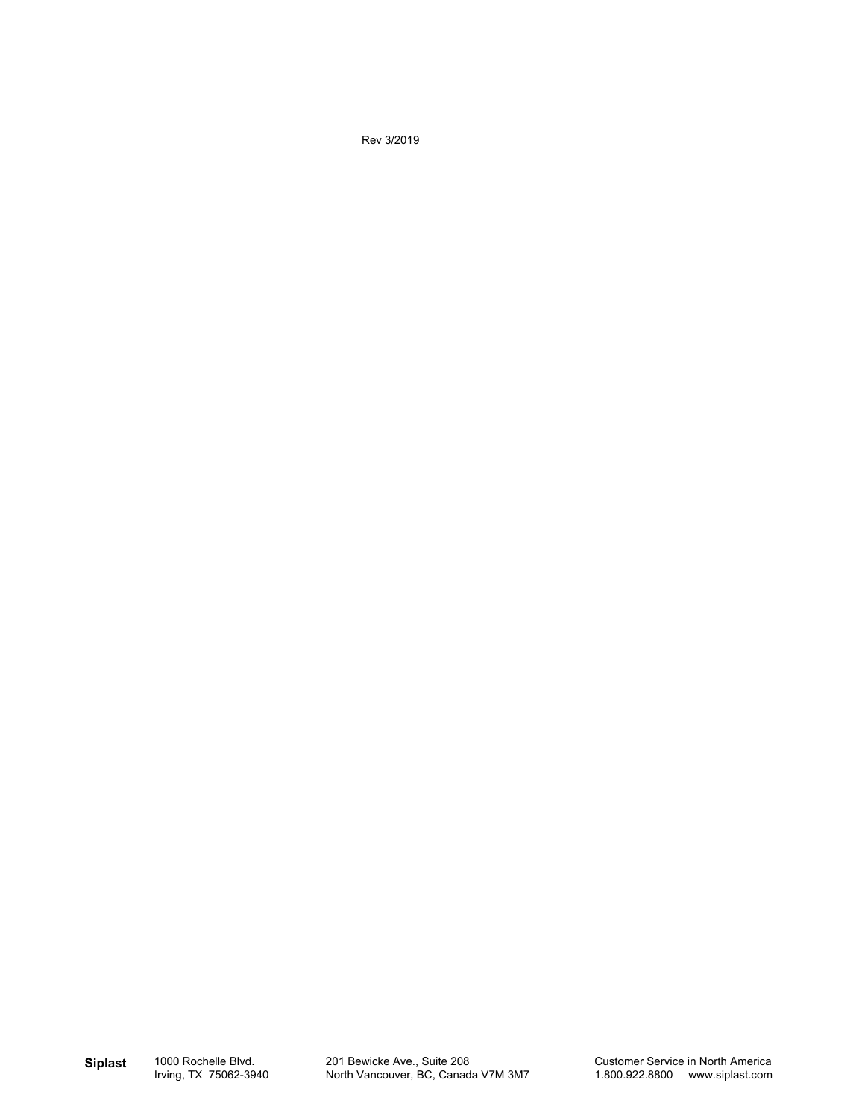Rev 3/2019